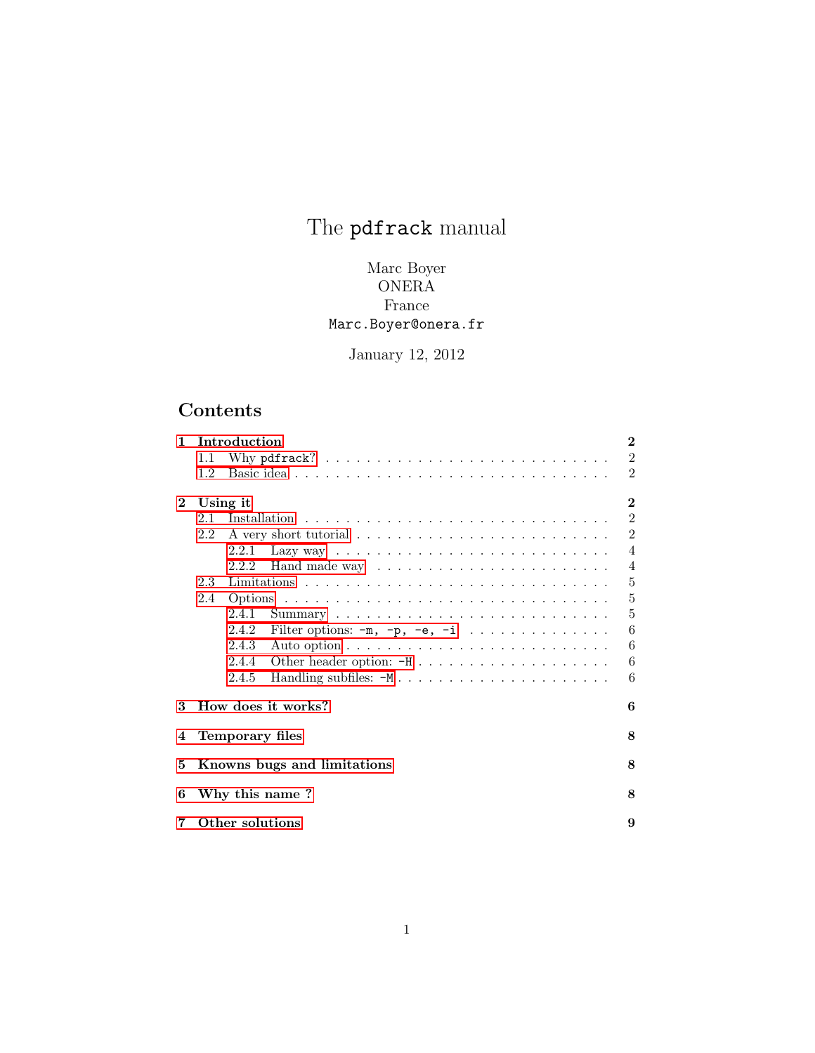# The  ${\tt pdftrack}$  manual

# Marc Boyer ONERA France Marc.Boyer@onera.fr

# January 12, 2012

# Contents

| $\mathbf{1}$ | Introduction                |       |                                           |  |  |  |  |  |  |  |              | $\bf{2}$ |                |  |  |  |  |  |                |
|--------------|-----------------------------|-------|-------------------------------------------|--|--|--|--|--|--|--|--------------|----------|----------------|--|--|--|--|--|----------------|
|              | 1.1                         |       |                                           |  |  |  |  |  |  |  |              |          |                |  |  |  |  |  | $\overline{2}$ |
|              | 1.2                         |       |                                           |  |  |  |  |  |  |  |              |          |                |  |  |  |  |  | $\overline{2}$ |
| $\mathbf{2}$ | Using it                    |       |                                           |  |  |  |  |  |  |  | $\mathbf{2}$ |          |                |  |  |  |  |  |                |
|              | 2.1                         |       |                                           |  |  |  |  |  |  |  |              |          |                |  |  |  |  |  | $\overline{2}$ |
|              | $2.2^{\circ}$               |       |                                           |  |  |  |  |  |  |  |              |          |                |  |  |  |  |  | $\overline{2}$ |
|              |                             | 2.2.1 |                                           |  |  |  |  |  |  |  |              |          |                |  |  |  |  |  | $\overline{4}$ |
|              |                             | 2.2.2 |                                           |  |  |  |  |  |  |  |              |          |                |  |  |  |  |  | $\overline{4}$ |
|              | 2.3                         |       |                                           |  |  |  |  |  |  |  |              |          | $\overline{5}$ |  |  |  |  |  |                |
|              | 2.4                         |       |                                           |  |  |  |  |  |  |  |              |          |                |  |  |  |  |  | 5              |
|              |                             | 2.4.1 |                                           |  |  |  |  |  |  |  |              |          |                |  |  |  |  |  | $\overline{5}$ |
|              |                             | 2.4.2 | Filter options: $-m$ , $-p$ , $-e$ , $-i$ |  |  |  |  |  |  |  |              |          |                |  |  |  |  |  | 6              |
|              |                             | 2.4.3 |                                           |  |  |  |  |  |  |  |              |          |                |  |  |  |  |  | 6              |
|              |                             | 2.4.4 |                                           |  |  |  |  |  |  |  |              |          |                |  |  |  |  |  | 6              |
|              |                             | 2.4.5 |                                           |  |  |  |  |  |  |  |              |          |                |  |  |  |  |  | 6              |
| 3            | How does it works?          |       |                                           |  |  |  |  |  |  |  | 6            |          |                |  |  |  |  |  |                |
| 4            | <b>Temporary files</b>      |       |                                           |  |  |  |  |  |  |  |              | 8        |                |  |  |  |  |  |                |
| 5            | Knowns bugs and limitations |       |                                           |  |  |  |  |  |  |  |              |          | 8              |  |  |  |  |  |                |
| 6            | Why this name?              |       |                                           |  |  |  |  |  |  |  | 8            |          |                |  |  |  |  |  |                |
| 7            | Other solutions             |       |                                           |  |  |  |  |  |  |  | 9            |          |                |  |  |  |  |  |                |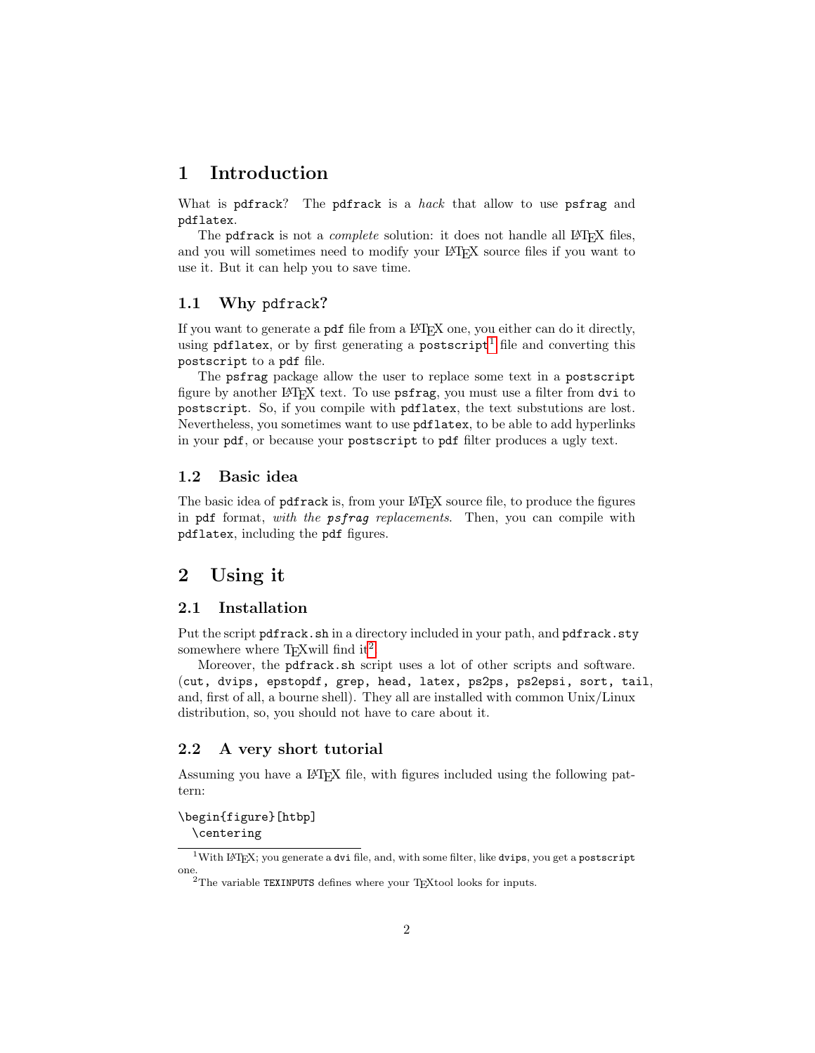# <span id="page-1-0"></span>1 Introduction

What is pdfrack? The pdfrack is a hack that allow to use psfrag and pdflatex.

The pdfrack is not a *complete* solution: it does not handle all LAT<sub>E</sub>X files, and you will sometimes need to modify your LAT<sub>EX</sub> source files if you want to use it. But it can help you to save time.

## <span id="page-1-1"></span>1.1 Why pdfrack?

If you want to generate a pdf file from a L<sup>A</sup>TEX one, you either can do it directly, using pdflatex, or by first generating a postscript<sup>[1](#page-1-6)</sup> file and converting this postscript to a pdf file.

The psfrag package allow the user to replace some text in a postscript figure by another L<sup>A</sup>TEX text. To use psfrag, you must use a filter from dvi to postscript. So, if you compile with pdflatex, the text substutions are lost. Nevertheless, you sometimes want to use pdflatex, to be able to add hyperlinks in your pdf, or because your postscript to pdf filter produces a ugly text.

## <span id="page-1-2"></span>1.2 Basic idea

The basic idea of pdfrack is, from your LAT<sub>EX</sub> source file, to produce the figures in pdf format, with the psfrag replacements. Then, you can compile with pdflatex, including the pdf figures.

## <span id="page-1-3"></span>2 Using it

## <span id="page-1-4"></span>2.1 Installation

Put the script pdfrack.sh in a directory included in your path, and pdfrack.sty somewhere where  $T_{E}X$  will find it<sup>[2](#page-1-7)</sup>.

Moreover, the pdfrack.sh script uses a lot of other scripts and software. (cut, dvips, epstopdf, grep, head, latex, ps2ps, ps2epsi, sort, tail, and, first of all, a bourne shell). They all are installed with common Unix/Linux distribution, so, you should not have to care about it.

## <span id="page-1-5"></span>2.2 A very short tutorial

Assuming you have a LATEX file, with figures included using the following pattern:

## \begin{figure}[htbp] \centering

<span id="page-1-6"></span><sup>&</sup>lt;sup>1</sup>With LAT<sub>E</sub>X; you generate a dvi file, and, with some filter, like dvips, you get a postscript one.

<span id="page-1-7"></span> $^2\mathrm{The}$  variable TEXINPUTS defines where your T<sub>E</sub>Xtool looks for inputs.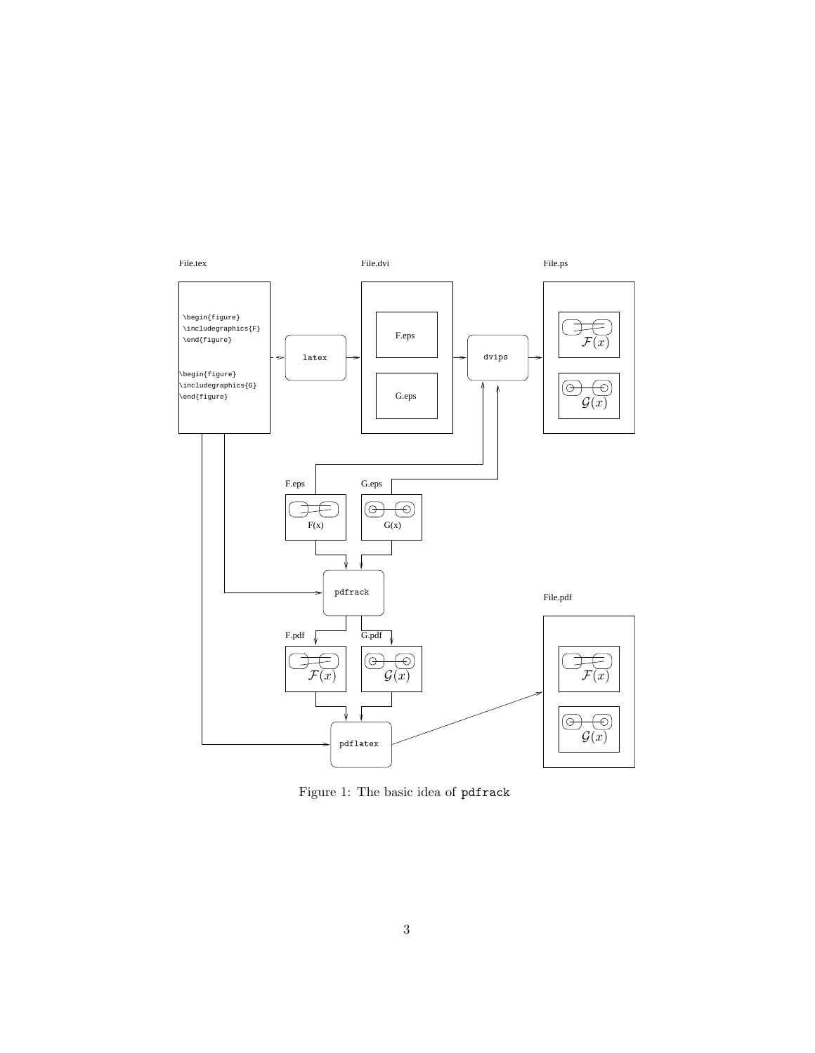

Figure 1: The basic idea of pdfrack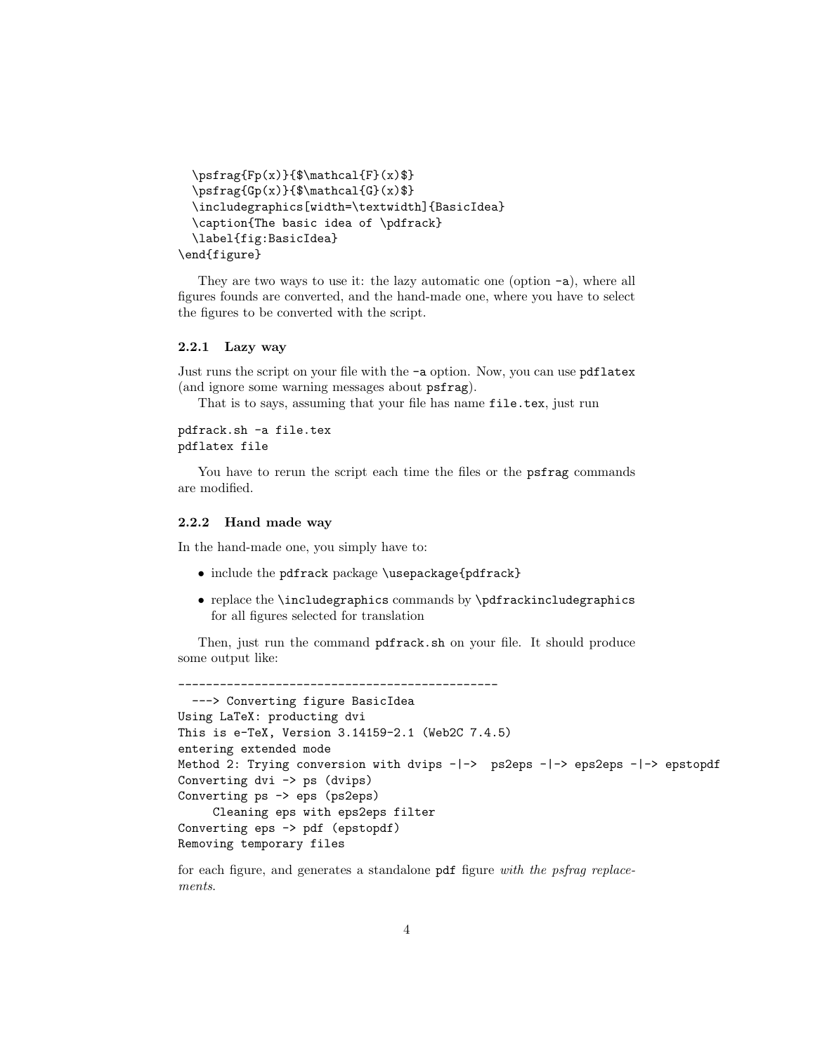```
\psfrag{Fp(x)}{\$\mathcal{F}(x)\\psfrag{Gp(x)}{\ mathcal{G}(x) $}
 \includegraphics[width=\textwidth]{BasicIdea}
 \caption{The basic idea of \pdfrack}
 \label{fig:BasicIdea}
\end{figure}
```
They are two ways to use it: the lazy automatic one (option -a), where all figures founds are converted, and the hand-made one, where you have to select the figures to be converted with the script.

#### <span id="page-3-0"></span>2.2.1 Lazy way

Just runs the script on your file with the -a option. Now, you can use pdflatex (and ignore some warning messages about psfrag).

That is to says, assuming that your file has name file.tex, just run

## pdfrack.sh -a file.tex pdflatex file

You have to rerun the script each time the files or the psfrag commands are modified.

#### <span id="page-3-1"></span>2.2.2 Hand made way

In the hand-made one, you simply have to:

- include the pdfrack package \usepackage{pdfrack}
- replace the \includegraphics commands by \pdfrackincludegraphics for all figures selected for translation

Then, just run the command pdfrack.sh on your file. It should produce some output like:

```
----------------------------------------------
  ---> Converting figure BasicIdea
Using LaTeX: producting dvi
This is e-TeX, Version 3.14159-2.1 (Web2C 7.4.5)
entering extended mode
Method 2: Trying conversion with dvips -|-> ps2eps -|-> eps2eps -|-> epstopdf
Converting dvi -> ps (dvips)
Converting ps -> eps (ps2eps)
    Cleaning eps with eps2eps filter
Converting eps -> pdf (epstopdf)
Removing temporary files
```
for each figure, and generates a standalone pdf figure with the psfrag replacements.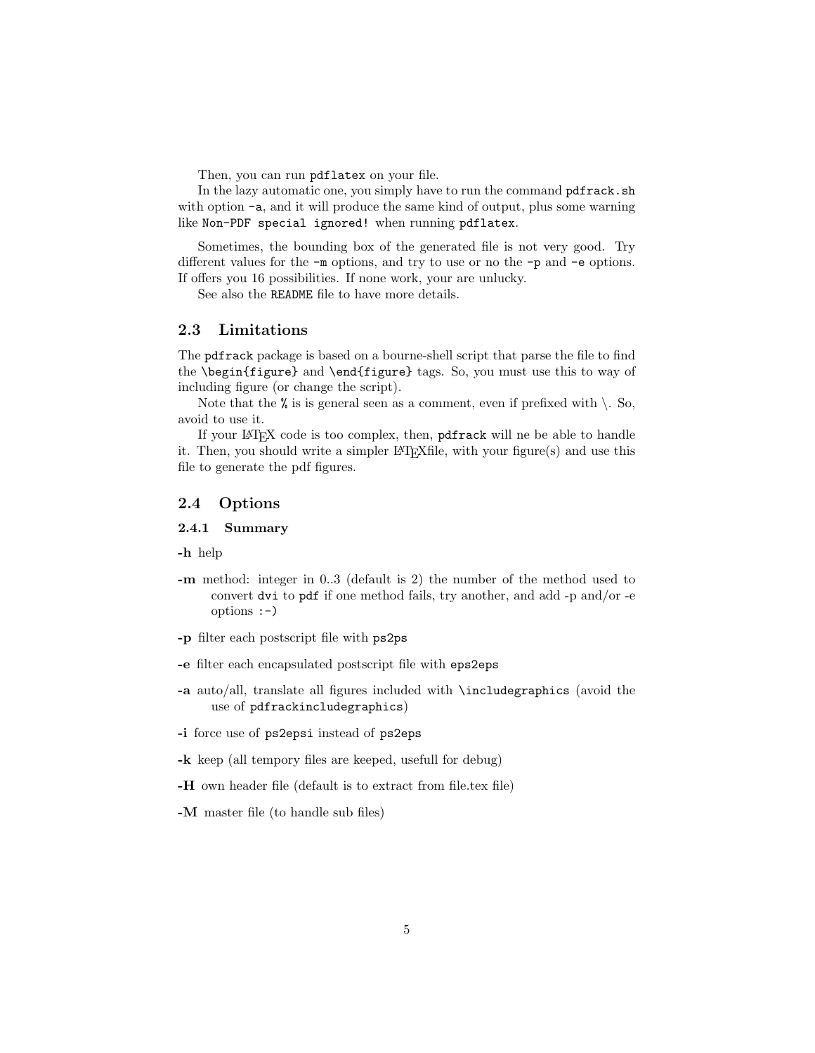Then, you can run pdflatex on your file.

In the lazy automatic one, you simply have to run the command pdfrack.sh with option -a, and it will produce the same kind of output, plus some warning like Non-PDF special ignored! when running pdflatex.

Sometimes, the bounding box of the generated file is not very good. Try different values for the -m options, and try to use or no the -p and -e options. If offers you 16 possibilities. If none work, your are unlucky.

See also the README file to have more details.

## <span id="page-4-0"></span>2.3 Limitations

The pdfrack package is based on a bourne-shell script that parse the file to find the \begin{figure} and \end{figure} tags. So, you must use this to way of including figure (or change the script).

Note that the  $\%$  is is general seen as a comment, even if prefixed with  $\setminus$ . So, avoid to use it.

If your L<sup>A</sup>TEX code is too complex, then, pdfrack will ne be able to handle it. Then, you should write a simpler  $L^2T_FX$  file, with your figure(s) and use this file to generate the pdf figures.

## <span id="page-4-1"></span>2.4 Options

## <span id="page-4-2"></span>2.4.1 Summary

-h help

- -m method: integer in 0..3 (default is 2) the number of the method used to convert dvi to pdf if one method fails, try another, and add -p and/or -e options :-)
- -p filter each postscript file with ps2ps
- -e filter each encapsulated postscript file with eps2eps
- -a auto/all, translate all figures included with \includegraphics (avoid the use of pdfrackincludegraphics)
- -i force use of ps2epsi instead of ps2eps
- -k keep (all tempory files are keeped, usefull for debug)
- -H own header file (default is to extract from file.tex file)
- -M master file (to handle sub files)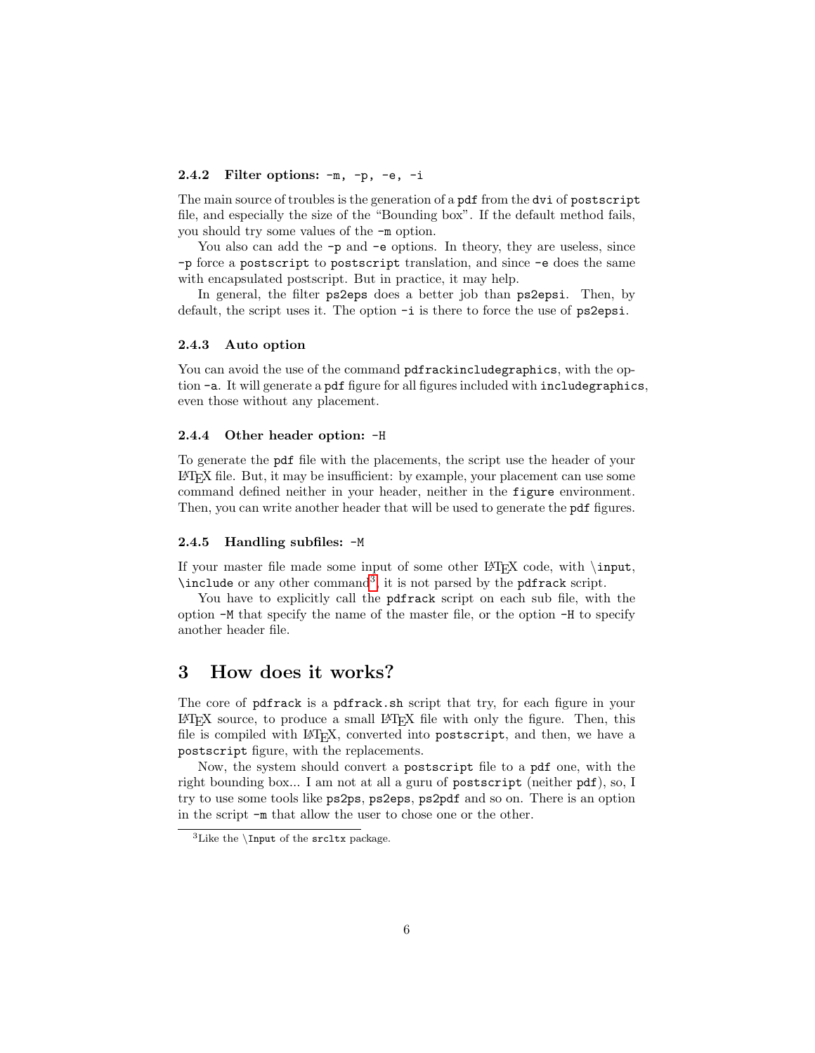## <span id="page-5-0"></span>2.4.2 Filter options: -m, -p, -e, -i

The main source of troubles is the generation of a pdf from the dvi of postscript file, and especially the size of the "Bounding box". If the default method fails, you should try some values of the -m option.

You also can add the  $-p$  and  $-e$  options. In theory, they are useless, since -p force a postscript to postscript translation, and since -e does the same with encapsulated postscript. But in practice, it may help.

In general, the filter ps2eps does a better job than ps2epsi. Then, by default, the script uses it. The option -i is there to force the use of ps2epsi.

#### <span id="page-5-1"></span>2.4.3 Auto option

You can avoid the use of the command pdfrackincludegraphics, with the option  $-a$ . It will generate a pdf figure for all figures included with includegraphics, even those without any placement.

#### <span id="page-5-2"></span>2.4.4 Other header option: -H

To generate the pdf file with the placements, the script use the header of your L<sup>A</sup>TEX file. But, it may be insufficient: by example, your placement can use some command defined neither in your header, neither in the figure environment. Then, you can write another header that will be used to generate the pdf figures.

#### <span id="page-5-3"></span>2.4.5 Handling subfiles: -M

If your master file made some input of some other LAT<sub>EX</sub> code, with  $\infty$ , \include or any other command[3](#page-5-5) , it is not parsed by the pdfrack script.

You have to explicitly call the pdfrack script on each sub file, with the option -M that specify the name of the master file, or the option -H to specify another header file.

## <span id="page-5-4"></span>3 How does it works?

The core of pdfrack is a pdfrack.sh script that try, for each figure in your  $E\text{Tr}X$  source, to produce a small  $E\text{Tr}X$  file with only the figure. Then, this file is compiled with LAT<sub>EX</sub>, converted into postscript, and then, we have a postscript figure, with the replacements.

Now, the system should convert a postscript file to a pdf one, with the right bounding box... I am not at all a guru of postscript (neither pdf), so, I try to use some tools like ps2ps, ps2eps, ps2pdf and so on. There is an option in the script -m that allow the user to chose one or the other.

<span id="page-5-5"></span><sup>&</sup>lt;sup>3</sup>Like the  $\Input$  of the srcltx package.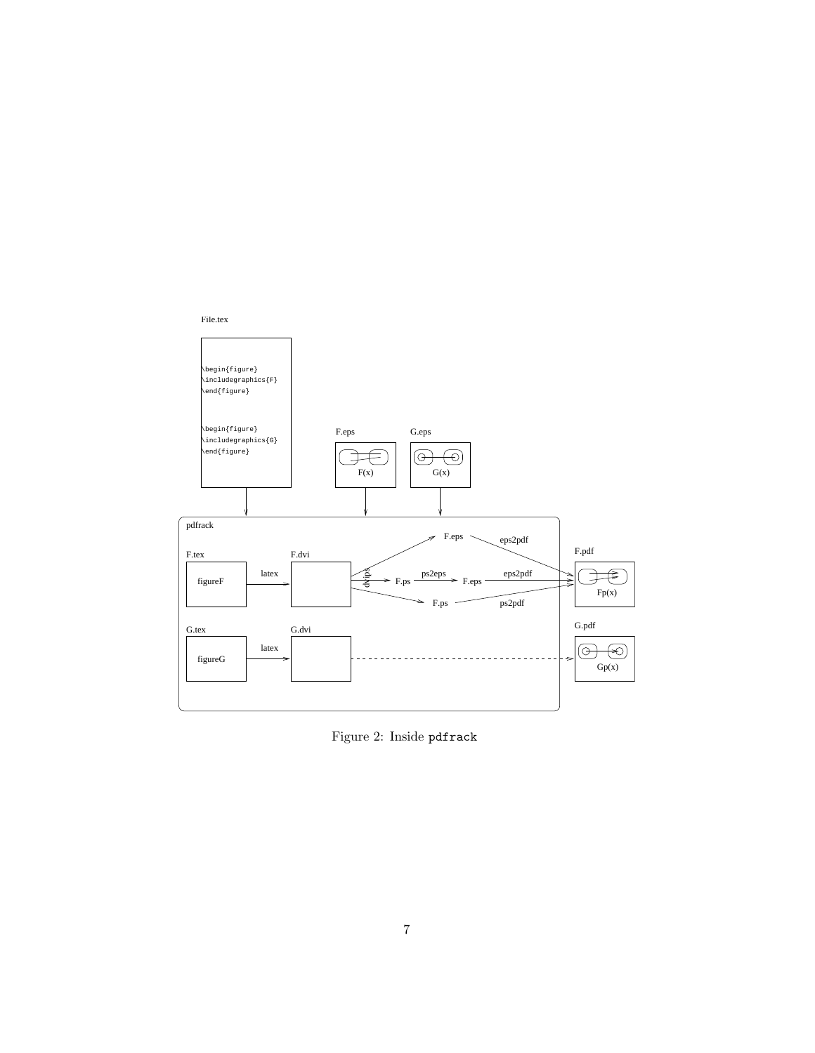

Figure 2: Inside pdfrack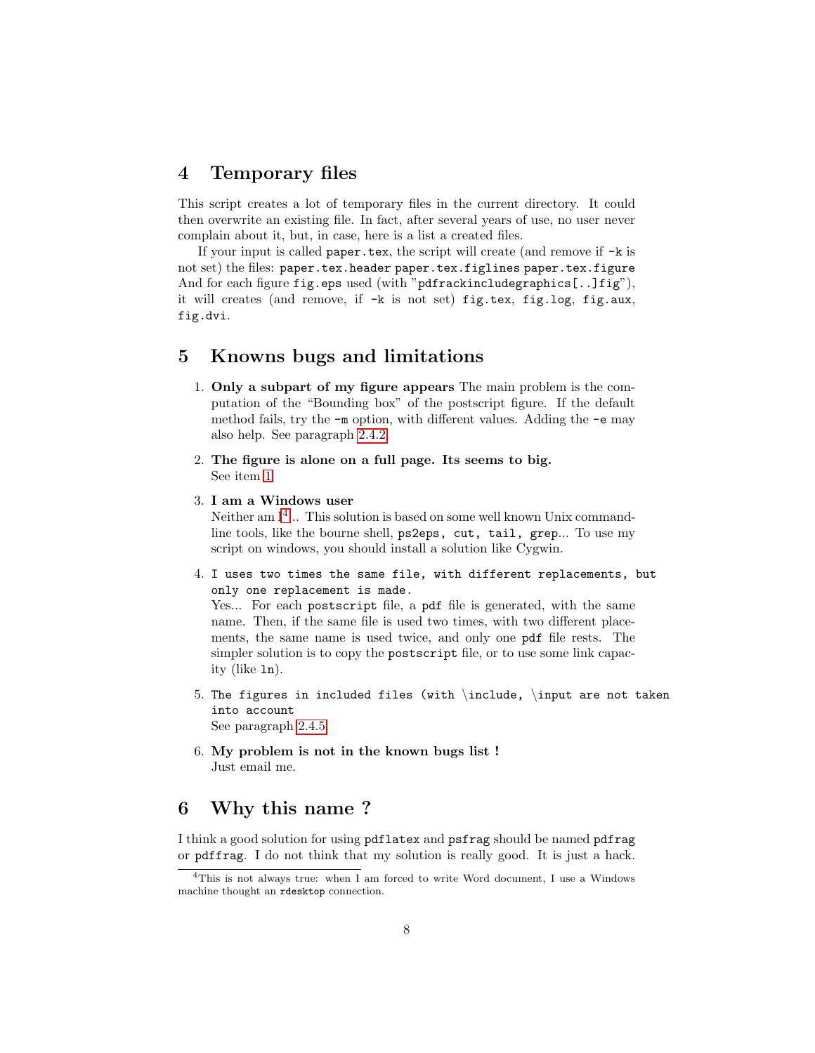## <span id="page-7-0"></span>4 Temporary files

This script creates a lot of temporary files in the current directory. It could then overwrite an existing file. In fact, after several years of use, no user never complain about it, but, in case, here is a list a created files.

If your input is called **paper.tex**, the script will create (and remove if  $-k$  is not set) the files: paper.tex.header paper.tex.figlines paper.tex.figure And for each figure fig.eps used (with "pdfrackincludegraphics  $[..]$  fig"), it will creates (and remove, if -k is not set) fig.tex, fig.log, fig.aux, fig.dvi.

## <span id="page-7-1"></span>5 Knowns bugs and limitations

- <span id="page-7-3"></span>1. Only a subpart of my figure appears The main problem is the computation of the "Bounding box" of the postscript figure. If the default method fails, try the -m option, with different values. Adding the -e may also help. See paragraph [2.4.2.](#page-5-0)
- 2. The figure is alone on a full page. Its seems to big. See item [1](#page-7-3)
- 3. I am a Windows user

Neither am I<sup>[4](#page-7-4)</sup>... This solution is based on some well known Unix commandline tools, like the bourne shell, ps2eps, cut, tail, grep... To use my script on windows, you should install a solution like Cygwin.

4. I uses two times the same file, with different replacements, but only one replacement is made.

Yes... For each postscript file, a pdf file is generated, with the same name. Then, if the same file is used two times, with two different placements, the same name is used twice, and only one pdf file rests. The simpler solution is to copy the postscript file, or to use some link capacity (like ln).

- 5. The figures in included files (with \include, \input are not taken into account See paragraph [2.4.5.](#page-5-3)
- 6. My problem is not in the known bugs list ! Just email me.

# <span id="page-7-2"></span>6 Why this name ?

I think a good solution for using pdflatex and psfrag should be named pdfrag or pdffrag. I do not think that my solution is really good. It is just a hack.

<span id="page-7-4"></span><sup>4</sup>This is not always true: when I am forced to write Word document, I use a Windows machine thought an rdesktop connection.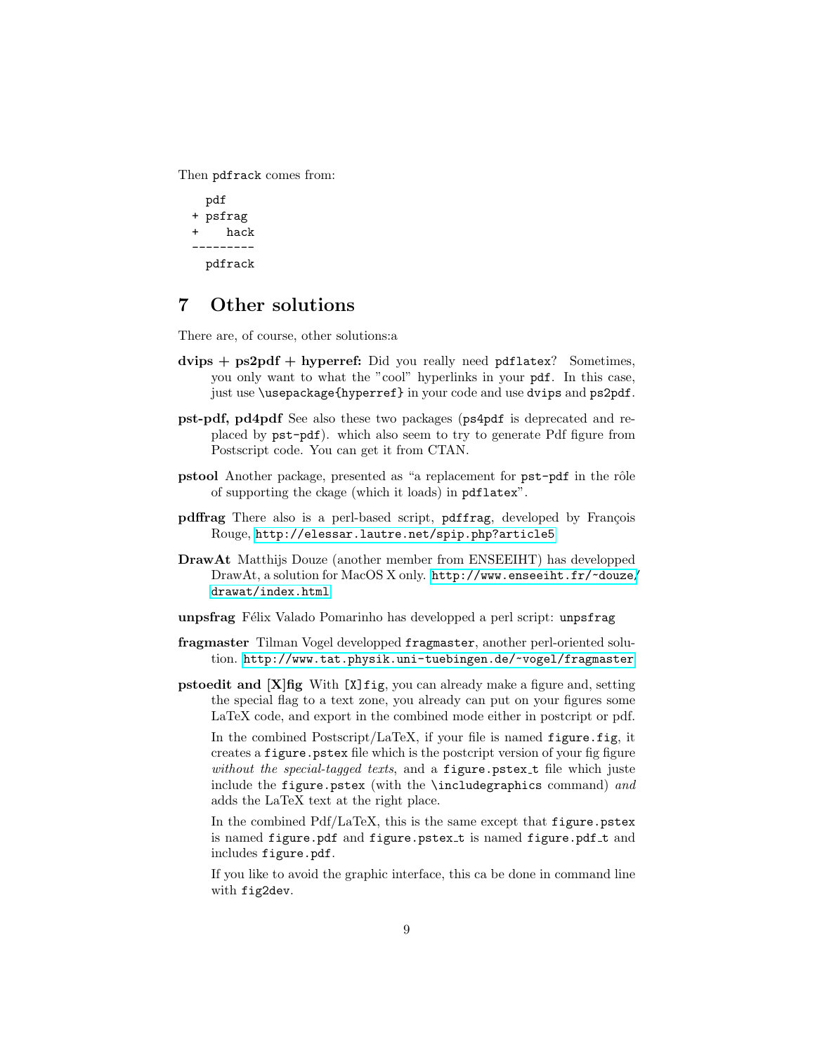Then pdfrack comes from:

```
pdf
+ psfrag
+ hack
---------
 pdfrack
```
# <span id="page-8-0"></span>7 Other solutions

There are, of course, other solutions:a

- $divips + ps2pdf + hyperref$ : Did you really need pdflatex? Sometimes, you only want to what the "cool" hyperlinks in your pdf. In this case, just use \usepackage{hyperref} in your code and use dvips and ps2pdf.
- pst-pdf, pd4pdf See also these two packages (ps4pdf is deprecated and replaced by pst-pdf). which also seem to try to generate Pdf figure from Postscript code. You can get it from CTAN.
- pstool Another package, presented as "a replacement for  $pst-pdf$  in the rôle of supporting the ckage (which it loads) in pdflatex".
- pdffrag There also is a perl-based script, pdffrag, developed by François Rouge, <http://elessar.lautre.net/spip.php?article5>
- DrawAt Matthijs Douze (another member from ENSEEIHT) has developped DrawAt, a solution for MacOS X only. [http://www.enseeiht.fr/~douze/](http://www.enseeiht.fr/~douze/drawat/index.html) [drawat/index.html](http://www.enseeiht.fr/~douze/drawat/index.html)
- unpsfrag Félix Valado Pomarinho has developped a perl script: unpsfrag
- fragmaster Tilman Vogel developped fragmaster, another perl-oriented solution. <http://www.tat.physik.uni-tuebingen.de/~vogel/fragmaster>
- pstoedit and [X]fig With [X]fig, you can already make a figure and, setting the special flag to a text zone, you already can put on your figures some LaTeX code, and export in the combined mode either in postcript or pdf.

In the combined Postscript/LaTeX, if your file is named figure.fig, it creates a figure.pstex file which is the postcript version of your fig figure without the special-tagged texts, and a figure.pstex\_t file which juste include the figure.pstex (with the \includegraphics command) and adds the LaTeX text at the right place.

In the combined Pdf/LaTeX, this is the same except that figure.pstex is named figure.pdf and figure.pstex\_t is named figure.pdf\_t and includes figure.pdf.

If you like to avoid the graphic interface, this ca be done in command line with fig2dev.